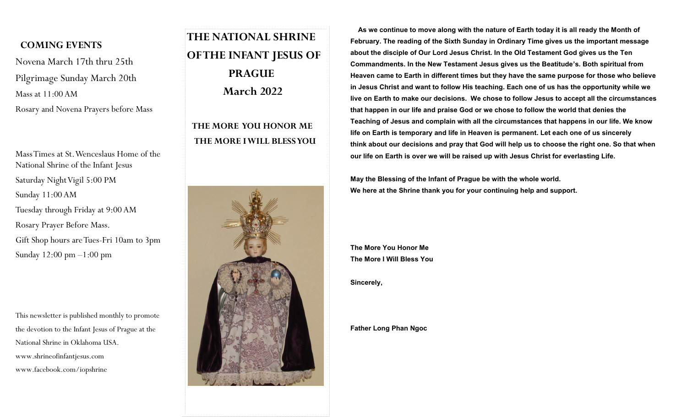#### **COMING EVENTS**

Novena March 17th thru 25th Pilgrimage Sunday March 20th Mass at 11:00 AM Rosary and Novena Prayers before Mass

Mass Times at St. Wenceslaus Home of the National Shrine of the Infant Jesus Saturday Night Vigil 5:00 PM Sunday 11:00 AM Tuesday through Friday at 9:00 AM Rosary Prayer Before Mass. Gift Shop hours are Tues-Fri 10am to 3pm Sunday 12:00 pm –1:00 pm

This newsletter is published monthly to promote the devotion to the Infant Jesus of Prague at the National Shrine in Oklahoma USA. www.shrineofinfantjesus.com www.facebook.com/iopshrine

# **THE NATIONAL SHRINE OF THE INFANT JESUS OF PRAGUE March 2022**

## **THE MORE YOU HONOR ME THE MORE I WILL BLESS YOU**



 **As we continue to move along with the nature of Earth today it is all ready the Month of February. The reading of the Sixth Sunday in Ordinary Time gives us the important message about the disciple of Our Lord Jesus Christ. In the Old Testament God gives us the Ten Commandments. In the New Testament Jesus gives us the Beatitude's. Both spiritual from Heaven came to Earth in different times but they have the same purpose for those who believe in Jesus Christ and want to follow His teaching. Each one of us has the opportunity while we live on Earth to make our decisions. We chose to follow Jesus to accept all the circumstances that happen in our life and praise God or we chose to follow the world that denies the Teaching of Jesus and complain with all the circumstances that happens in our life. We know life on Earth is temporary and life in Heaven is permanent. Let each one of us sincerely think about our decisions and pray that God will help us to choose the right one. So that when our life on Earth is over we will be raised up with Jesus Christ for everlasting Life.**

**May the Blessing of the Infant of Prague be with the whole world. We here at the Shrine thank you for your continuing help and support.**

**The More You Honor Me The More I Will Bless You**

**Sincerely,**

**Father Long Phan Ngoc**